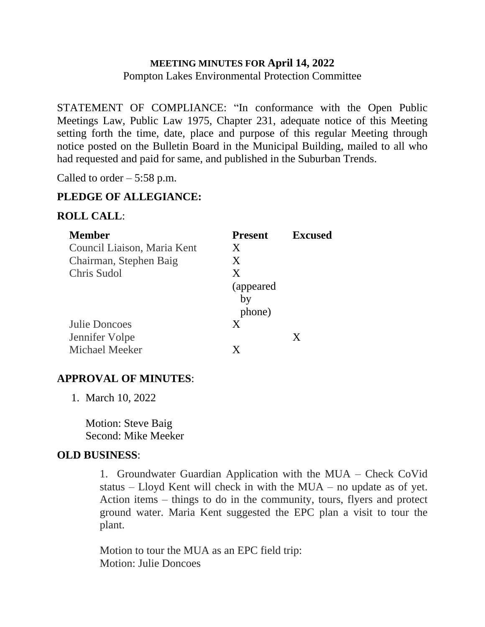# **MEETING MINUTES FOR April 14, 2022** Pompton Lakes Environmental Protection Committee

STATEMENT OF COMPLIANCE: "In conformance with the Open Public Meetings Law, Public Law 1975, Chapter 231, adequate notice of this Meeting setting forth the time, date, place and purpose of this regular Meeting through notice posted on the Bulletin Board in the Municipal Building, mailed to all who had requested and paid for same, and published in the Suburban Trends.

Called to order  $-5:58$  p.m.

# **PLEDGE OF ALLEGIANCE:**

#### **ROLL CALL**:

| <b>Member</b>               | <b>Present</b> | <b>Excused</b> |
|-----------------------------|----------------|----------------|
| Council Liaison, Maria Kent | X              |                |
| Chairman, Stephen Baig      | X              |                |
| Chris Sudol                 | X              |                |
|                             | (appeared)     |                |
|                             | by             |                |
|                             | phone)         |                |
| Julie Doncoes               | X              |                |
| Jennifer Volpe              |                | X              |
| Michael Meeker              | X              |                |

# **APPROVAL OF MINUTES**:

1. March 10, 2022

Motion: Steve Baig Second: Mike Meeker

# **OLD BUSINESS**:

1. Groundwater Guardian Application with the MUA – Check CoVid status – Lloyd Kent will check in with the MUA – no update as of yet. Action items – things to do in the community, tours, flyers and protect ground water. Maria Kent suggested the EPC plan a visit to tour the plant.

Motion to tour the MUA as an EPC field trip: Motion: Julie Doncoes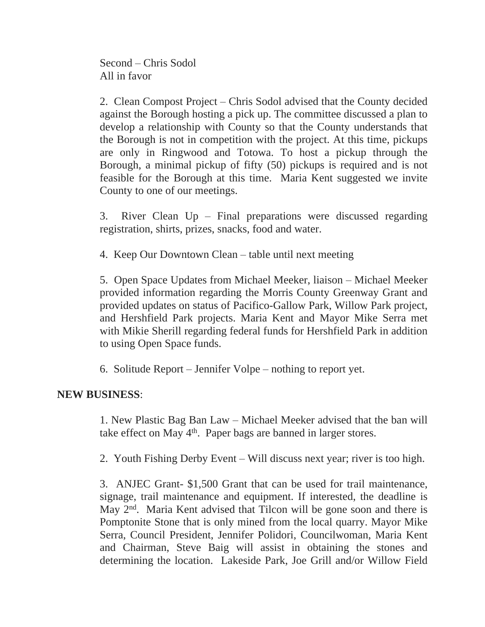Second – Chris Sodol All in favor

2. Clean Compost Project – Chris Sodol advised that the County decided against the Borough hosting a pick up. The committee discussed a plan to develop a relationship with County so that the County understands that the Borough is not in competition with the project. At this time, pickups are only in Ringwood and Totowa. To host a pickup through the Borough, a minimal pickup of fifty (50) pickups is required and is not feasible for the Borough at this time. Maria Kent suggested we invite County to one of our meetings.

3. River Clean Up – Final preparations were discussed regarding registration, shirts, prizes, snacks, food and water.

4. Keep Our Downtown Clean – table until next meeting

5. Open Space Updates from Michael Meeker, liaison – Michael Meeker provided information regarding the Morris County Greenway Grant and provided updates on status of Pacifico-Gallow Park, Willow Park project, and Hershfield Park projects. Maria Kent and Mayor Mike Serra met with Mikie Sherill regarding federal funds for Hershfield Park in addition to using Open Space funds.

6. Solitude Report – Jennifer Volpe – nothing to report yet.

# **NEW BUSINESS**:

1. New Plastic Bag Ban Law – Michael Meeker advised that the ban will take effect on May 4<sup>th</sup>. Paper bags are banned in larger stores.

2. Youth Fishing Derby Event – Will discuss next year; river is too high.

3. ANJEC Grant- \$1,500 Grant that can be used for trail maintenance, signage, trail maintenance and equipment. If interested, the deadline is May 2<sup>nd</sup>. Maria Kent advised that Tilcon will be gone soon and there is Pomptonite Stone that is only mined from the local quarry. Mayor Mike Serra, Council President, Jennifer Polidori, Councilwoman, Maria Kent and Chairman, Steve Baig will assist in obtaining the stones and determining the location. Lakeside Park, Joe Grill and/or Willow Field